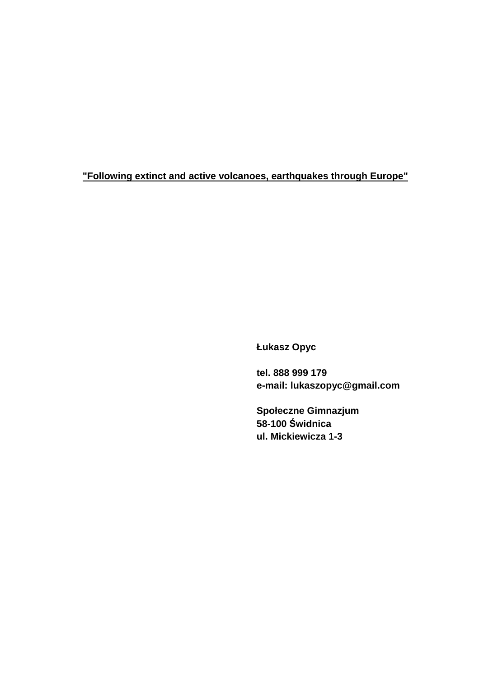**"Following extinct and active volcanoes, earthquakes through Europe"**

 **Łukasz Opyc** 

 **tel. 888 999 179 e-mail: lukaszopyc@gmail.com** 

 **Społeczne Gimnazjum 58-100 Świdnica ul. Mickiewicza 1-3**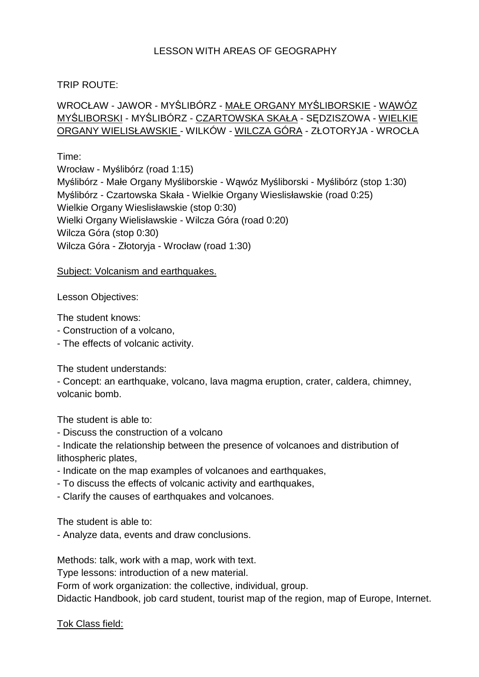# LESSON WITH AREAS OF GEOGRAPHY

### TRIP ROUTE:

# WROCŁAW - JAWOR - MYŚLIBÓRZ - MAŁE ORGANY MYŚLIBORSKIE - WĄWÓZ MYŚLIBORSKI - MYŚLIBÓRZ - CZARTOWSKA SKAŁA - SĘDZISZOWA - WIELKIE ORGANY WIELISŁAWSKIE - WILKÓW - WILCZA GÓRA - ZŁOTORYJA - WROCŁA

#### Time:

Wrocław - Myślibórz (road 1:15) Myślibórz - Małe Organy Myśliborskie - Wąwóz Myśliborski - Myślibórz (stop 1:30) Myślibórz - Czartowska Skała - Wielkie Organy Wieslisławskie (road 0:25) Wielkie Organy Wieslisławskie (stop 0:30) Wielki Organy Wielisławskie - Wilcza Góra (road 0:20) Wilcza Góra (stop 0:30) Wilcza Góra - Złotoryja - Wrocław (road 1:30)

#### Subject: Volcanism and earthquakes.

#### Lesson Objectives:

The student knows:

- Construction of a volcano,
- The effects of volcanic activity.

The student understands:

- Concept: an earthquake, volcano, lava magma eruption, crater, caldera, chimney, volcanic bomb.

The student is able to:

- Discuss the construction of a volcano

- Indicate the relationship between the presence of volcanoes and distribution of lithospheric plates,

- Indicate on the map examples of volcanoes and earthquakes,
- To discuss the effects of volcanic activity and earthquakes,
- Clarify the causes of earthquakes and volcanoes.

The student is able to:

- Analyze data, events and draw conclusions.

Methods: talk, work with a map, work with text.

Type lessons: introduction of a new material.

Form of work organization: the collective, individual, group.

Didactic Handbook, job card student, tourist map of the region, map of Europe, Internet.

Tok Class field: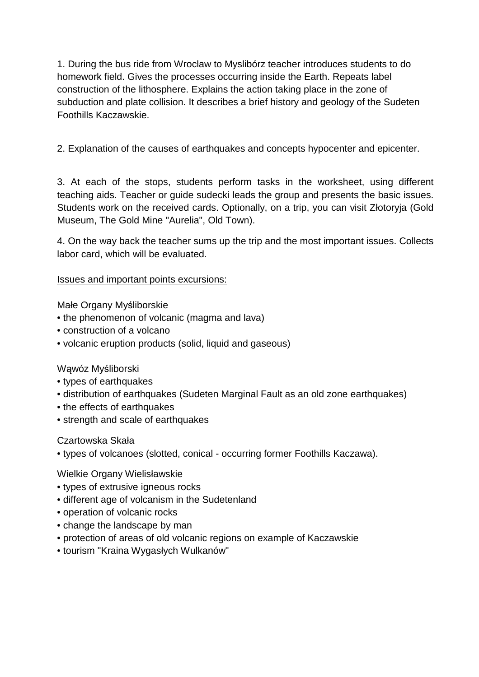1. During the bus ride from Wroclaw to Myslibórz teacher introduces students to do homework field. Gives the processes occurring inside the Earth. Repeats label construction of the lithosphere. Explains the action taking place in the zone of subduction and plate collision. It describes a brief history and geology of the Sudeten Foothills Kaczawskie.

2. Explanation of the causes of earthquakes and concepts hypocenter and epicenter.

3. At each of the stops, students perform tasks in the worksheet, using different teaching aids. Teacher or guide sudecki leads the group and presents the basic issues. Students work on the received cards. Optionally, on a trip, you can visit Złotoryja (Gold Museum, The Gold Mine "Aurelia", Old Town).

4. On the way back the teacher sums up the trip and the most important issues. Collects labor card, which will be evaluated.

Issues and important points excursions:

Małe Organy Myśliborskie

- the phenomenon of volcanic (magma and lava)
- construction of a volcano
- volcanic eruption products (solid, liquid and gaseous)

Wąwóz Myśliborski

- types of earthquakes
- distribution of earthquakes (Sudeten Marginal Fault as an old zone earthquakes)
- the effects of earthquakes
- strength and scale of earthquakes

Czartowska Skała

• types of volcanoes (slotted, conical - occurring former Foothills Kaczawa).

Wielkie Organy Wielisławskie

- types of extrusive igneous rocks
- different age of volcanism in the Sudetenland
- operation of volcanic rocks
- change the landscape by man
- protection of areas of old volcanic regions on example of Kaczawskie
- tourism "Kraina Wygasłych Wulkanów"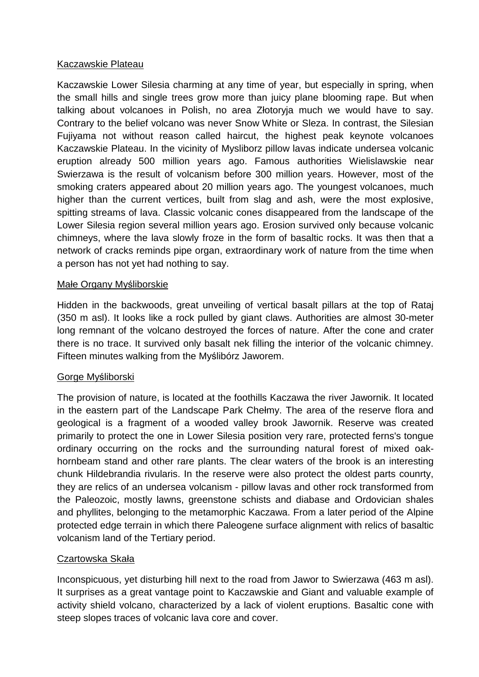### Kaczawskie Plateau

Kaczawskie Lower Silesia charming at any time of year, but especially in spring, when the small hills and single trees grow more than juicy plane blooming rape. But when talking about volcanoes in Polish, no area Złotoryja much we would have to say. Contrary to the belief volcano was never Snow White or Sleza. In contrast, the Silesian Fujiyama not without reason called haircut, the highest peak keynote volcanoes Kaczawskie Plateau. In the vicinity of Mysliborz pillow lavas indicate undersea volcanic eruption already 500 million years ago. Famous authorities Wielislawskie near Swierzawa is the result of volcanism before 300 million years. However, most of the smoking craters appeared about 20 million years ago. The youngest volcanoes, much higher than the current vertices, built from slag and ash, were the most explosive, spitting streams of lava. Classic volcanic cones disappeared from the landscape of the Lower Silesia region several million years ago. Erosion survived only because volcanic chimneys, where the lava slowly froze in the form of basaltic rocks. It was then that a network of cracks reminds pipe organ, extraordinary work of nature from the time when a person has not yet had nothing to say.

### Małe Organy Myśliborskie

Hidden in the backwoods, great unveiling of vertical basalt pillars at the top of Rataj (350 m asl). It looks like a rock pulled by giant claws. Authorities are almost 30-meter long remnant of the volcano destroyed the forces of nature. After the cone and crater there is no trace. It survived only basalt nek filling the interior of the volcanic chimney. Fifteen minutes walking from the Myślibórz Jaworem.

# Gorge Myśliborski

The provision of nature, is located at the foothills Kaczawa the river Jawornik. It located in the eastern part of the Landscape Park Chełmy. The area of the reserve flora and geological is a fragment of a wooded valley brook Jawornik. Reserve was created primarily to protect the one in Lower Silesia position very rare, protected ferns's tongue ordinary occurring on the rocks and the surrounding natural forest of mixed oakhornbeam stand and other rare plants. The clear waters of the brook is an interesting chunk Hildebrandia rivularis. In the reserve were also protect the oldest parts counrty, they are relics of an undersea volcanism - pillow lavas and other rock transformed from the Paleozoic, mostly lawns, greenstone schists and diabase and Ordovician shales and phyllites, belonging to the metamorphic Kaczawa. From a later period of the Alpine protected edge terrain in which there Paleogene surface alignment with relics of basaltic volcanism land of the Tertiary period.

# Czartowska Skała

Inconspicuous, yet disturbing hill next to the road from Jawor to Swierzawa (463 m asl). It surprises as a great vantage point to Kaczawskie and Giant and valuable example of activity shield volcano, characterized by a lack of violent eruptions. Basaltic cone with steep slopes traces of volcanic lava core and cover.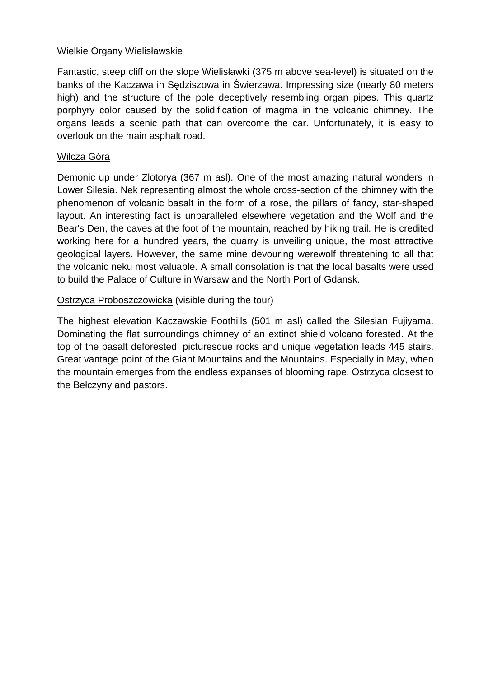### Wielkie Organy Wielisławskie

Fantastic, steep cliff on the slope Wielisławki (375 m above sea-level) is situated on the banks of the Kaczawa in Sędziszowa in Świerzawa. Impressing size (nearly 80 meters high) and the structure of the pole deceptively resembling organ pipes. This quartz porphyry color caused by the solidification of magma in the volcanic chimney. The organs leads a scenic path that can overcome the car. Unfortunately, it is easy to overlook on the main asphalt road.

### Wilcza Góra

Demonic up under Zlotorya (367 m asl). One of the most amazing natural wonders in Lower Silesia. Nek representing almost the whole cross-section of the chimney with the phenomenon of volcanic basalt in the form of a rose, the pillars of fancy, star-shaped layout. An interesting fact is unparalleled elsewhere vegetation and the Wolf and the Bear's Den, the caves at the foot of the mountain, reached by hiking trail. He is credited working here for a hundred years, the quarry is unveiling unique, the most attractive geological layers. However, the same mine devouring werewolf threatening to all that the volcanic neku most valuable. A small consolation is that the local basalts were used to build the Palace of Culture in Warsaw and the North Port of Gdansk.

# Ostrzyca Proboszczowicka (visible during the tour)

The highest elevation Kaczawskie Foothills (501 m asl) called the Silesian Fujiyama. Dominating the flat surroundings chimney of an extinct shield volcano forested. At the top of the basalt deforested, picturesque rocks and unique vegetation leads 445 stairs. Great vantage point of the Giant Mountains and the Mountains. Especially in May, when the mountain emerges from the endless expanses of blooming rape. Ostrzyca closest to the Bełczyny and pastors.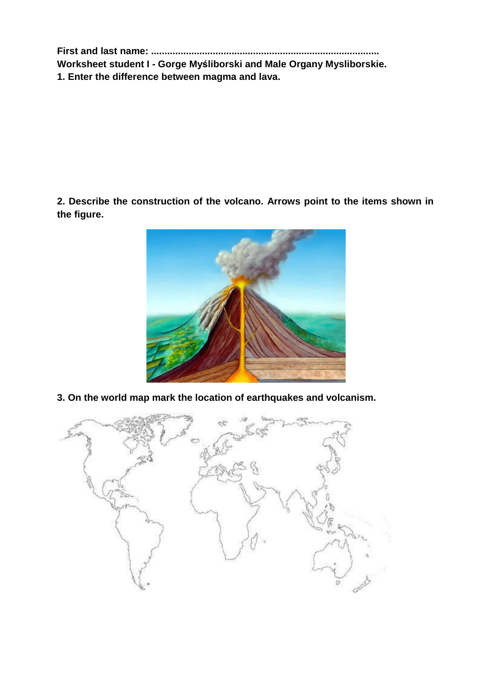**First and last name: .....................................................................................** 

**Worksheet student I - Gorge Myśliborski and Male Organy Mysliborskie. 1. Enter the difference between magma and lava.**

**2. Describe the construction of the volcano. Arrows point to the items shown in the figure.**



**3. On the world map mark the location of earthquakes and volcanism.**

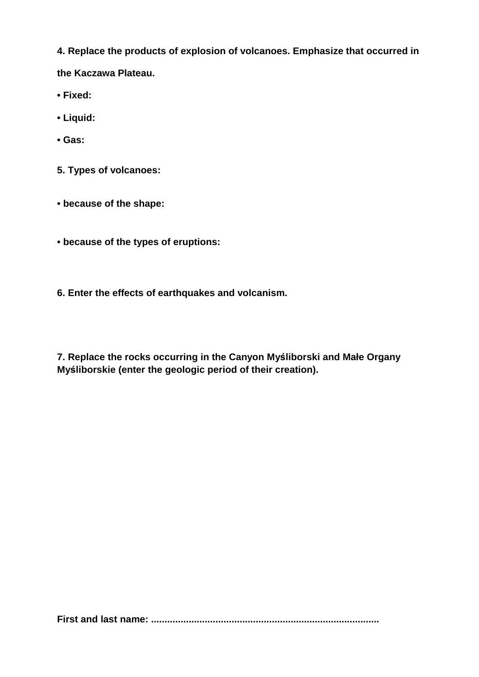**4. Replace the products of explosion of volcanoes. Emphasize that occurred in** 

**the Kaczawa Plateau.** 

- **Fixed:**
- **Liquid:**
- **Gas:**
- **5. Types of volcanoes:**
- **because of the shape:**
- **because of the types of eruptions:**
- **6. Enter the effects of earthquakes and volcanism.**

**7. Replace the rocks occurring in the Canyon Myśliborski and Małe Organy Myśliborskie (enter the geologic period of their creation).**

**First and last name: .....................................................................................**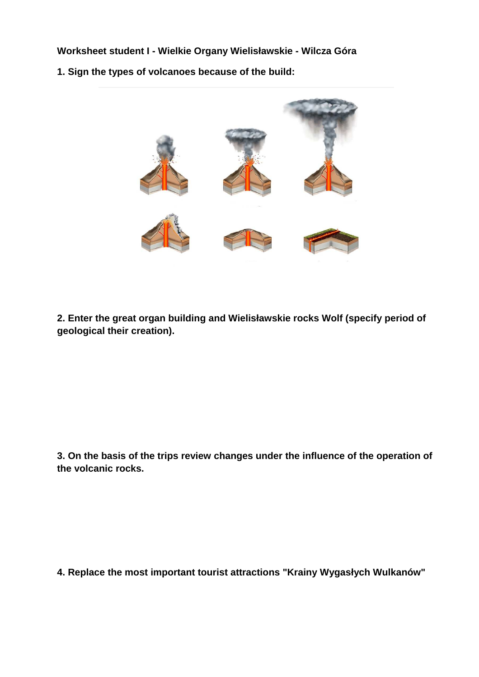**Worksheet student I - Wielkie Organy Wielisławskie - Wilcza Góra**

**1. Sign the types of volcanoes because of the build:** 



**2. Enter the great organ building and Wielisławskie rocks Wolf (specify period of geological their creation).** 

**3. On the basis of the trips review changes under the influence of the operation of the volcanic rocks.** 

**4. Replace the most important tourist attractions "Krainy Wygasłych Wulkanów"**